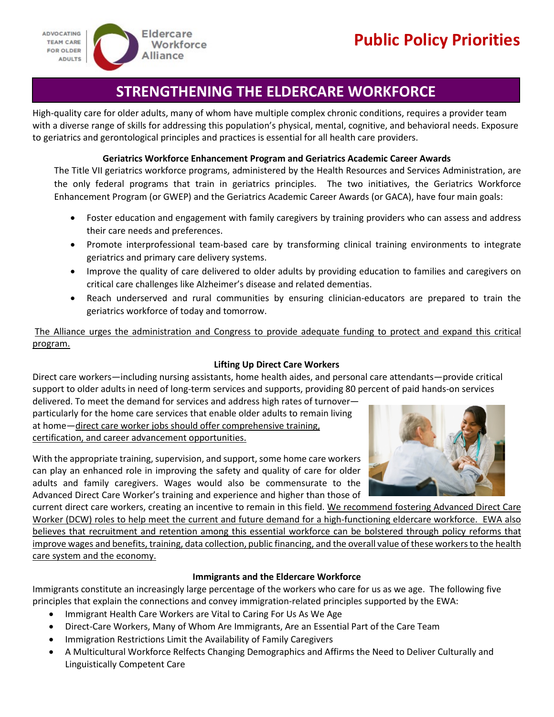

# **STRENGTHENING THE ELDERCARE WORKFORCE**

High-quality care for older adults, many of whom have multiple complex chronic conditions, requires a provider team with a diverse range of skills for addressing this population's physical, mental, cognitive, and behavioral needs. Exposure to geriatrics and gerontological principles and practices is essential for all health care providers.

#### **Geriatrics Workforce Enhancement Program and Geriatrics Academic Career Awards**

The Title VII geriatrics workforce programs, administered by the Health Resources and Services Administration, are the only federal programs that train in geriatrics principles. The two initiatives, the Geriatrics Workforce Enhancement Program (or GWEP) and the Geriatrics Academic Career Awards (or GACA), have four main goals:

- Foster education and engagement with family caregivers by training providers who can assess and address their care needs and preferences.
- Promote interprofessional team-based care by transforming clinical training environments to integrate geriatrics and primary care delivery systems.
- Improve the quality of care delivered to older adults by providing education to families and caregivers on critical care challenges like Alzheimer's disease and related dementias.
- Reach underserved and rural communities by ensuring clinician-educators are prepared to train the geriatrics workforce of today and tomorrow.

The Alliance urges the administration and Congress to provide adequate funding to protect and expand this critical program.

### **Lifting Up Direct Care Workers**

Direct care workers—including nursing assistants, home health aides, and personal care attendants—provide critical support to older adults in need of long-term services and supports, providing 80 percent of paid hands-on services

delivered. To meet the demand for services and address high rates of turnover particularly for the home care services that enable older adults to remain living at home—direct care worker jobs should offer comprehensive training, certification, and career advancement opportunities.



With the appropriate training, supervision, and support, some home care workers can play an enhanced role in improving the safety and quality of care for older adults and family caregivers. Wages would also be commensurate to the Advanced Direct Care Worker's training and experience and higher than those of

current direct care workers, creating an incentive to remain in this field. We recommend fostering Advanced Direct Care Worker (DCW) roles to help meet the current and future demand for a high-functioning eldercare workforce. EWA also believes that recruitment and retention among this essential workforce can be bolstered through policy reforms that improve wages and benefits, training, data collection, public financing, and the overall value of these workers to the health care system and the economy.

#### **Immigrants and the Eldercare Workforce**

Immigrants constitute an increasingly large percentage of the workers who care for us as we age. The following five principles that explain the connections and convey immigration-related principles supported by the EWA:

- Immigrant Health Care Workers are Vital to Caring For Us As We Age
- Direct-Care Workers, Many of Whom Are Immigrants, Are an Essential Part of the Care Team
- Immigration Restrictions Limit the Availability of Family Caregivers
- A Multicultural Workforce Relfects Changing Demographics and Affirms the Need to Deliver Culturally and Linguistically Competent Care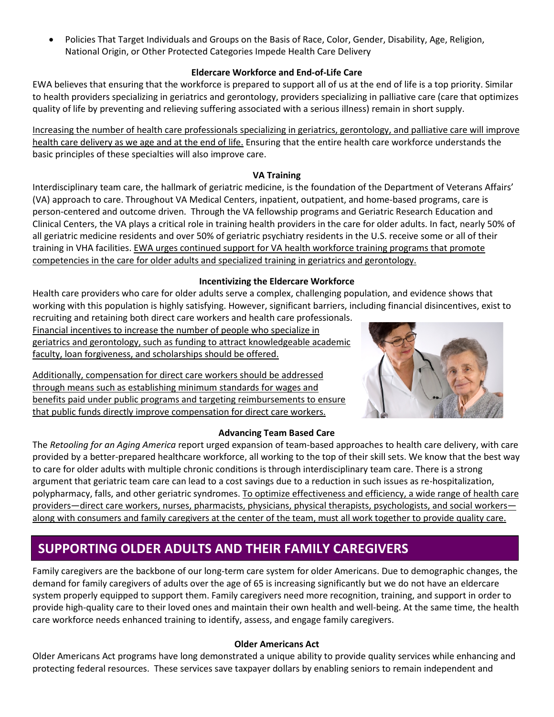• Policies That Target Individuals and Groups on the Basis of Race, Color, Gender, Disability, Age, Religion, National Origin, or Other Protected Categories Impede Health Care Delivery

### **Eldercare Workforce and End-of-Life Care**

EWA believes that ensuring that the workforce is prepared to support all of us at the end of life is a top priority. Similar to health providers specializing in geriatrics and gerontology, providers specializing in palliative care (care that optimizes quality of life by preventing and relieving suffering associated with a serious illness) remain in short supply.

Increasing the number of health care professionals specializing in geriatrics, gerontology, and palliative care will improve health care delivery as we age and at the end of life. Ensuring that the entire health care workforce understands the basic principles of these specialties will also improve care.

#### **VA Training**

Interdisciplinary team care, the hallmark of geriatric medicine, is the foundation of the Department of Veterans Affairs' (VA) approach to care. Throughout VA Medical Centers, inpatient, outpatient, and home-based programs, care is person-centered and outcome driven. Through the VA fellowship programs and Geriatric Research Education and Clinical Centers, the VA plays a critical role in training health providers in the care for older adults. In fact, nearly 50% of all geriatric medicine residents and over 50% of geriatric psychiatry residents in the U.S. receive some or all of their training in VHA facilities. EWA urges continued support for VA health workforce training programs that promote competencies in the care for older adults and specialized training in geriatrics and gerontology.

#### **Incentivizing the Eldercare Workforce**

Health care providers who care for older adults serve a complex, challenging population, and evidence shows that working with this population is highly satisfying. However, significant barriers, including financial disincentives, exist to

recruiting and retaining both direct care workers and health care professionals. Financial incentives to increase the number of people who specialize in geriatrics and gerontology, such as funding to attract knowledgeable academic faculty, loan forgiveness, and scholarships should be offered.

Additionally, compensation for direct care workers should be addressed through means such as establishing minimum standards for wages and benefits paid under public programs and targeting reimbursements to ensure that public funds directly improve compensation for direct care workers.

### **Advancing Team Based Care**

The *Retooling for an Aging America* report urged expansion of team-based approaches to health care delivery, with care provided by a better-prepared healthcare workforce, all working to the top of their skill sets. We know that the best way to care for older adults with multiple chronic conditions is through interdisciplinary team care. There is a strong argument that geriatric team care can lead to a cost savings due to a reduction in such issues as re-hospitalization, polypharmacy, falls, and other geriatric syndromes. To optimize effectiveness and efficiency, a wide range of health care providers—direct care workers, nurses, pharmacists, physicians, physical therapists, psychologists, and social workers along with consumers and family caregivers at the center of the team, must all work together to provide quality care.

## **SUPPORTING OLDER ADULTS AND THEIR FAMILY CAREGIVERS**

Family caregivers are the backbone of our long-term care system for older Americans. Due to demographic changes, the demand for family caregivers of adults over the age of 65 is increasing significantly but we do not have an eldercare system properly equipped to support them. Family caregivers need more recognition, training, and support in order to provide high-quality care to their loved ones and maintain their own health and well-being. At the same time, the health care workforce needs enhanced training to identify, assess, and engage family caregivers.

### **Older Americans Act**

Older Americans Act programs have long demonstrated a unique ability to provide quality services while enhancing and protecting federal resources. These services save taxpayer dollars by enabling seniors to remain independent and

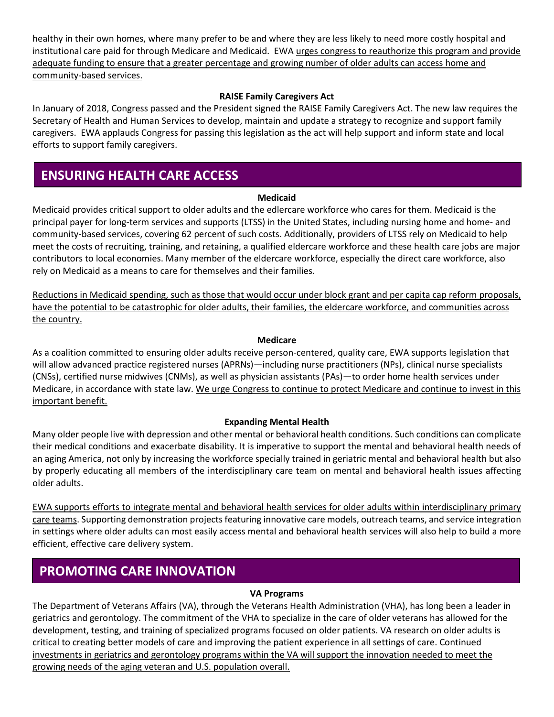healthy in their own homes, where many prefer to be and where they are less likely to need more costly hospital and institutional care paid for through Medicare and Medicaid. EWA urges congress to reauthorize this program and provide adequate funding to ensure that a greater percentage and growing number of older adults can access home and community-based services.

#### **RAISE Family Caregivers Act**

In January of 2018, Congress passed and the President signed the RAISE Family Caregivers Act. The new law requires the Secretary of Health and Human Services to develop, maintain and update a strategy to recognize and support family caregivers. EWA applauds Congress for passing this legislation as the act will help support and inform state and local efforts to support family caregivers.

## **ENSURING HEALTH CARE ACCESS**

#### **Medicaid**

Medicaid provides critical support to older adults and the edlercare workforce who cares for them. Medicaid is the principal payer for long-term services and supports (LTSS) in the United States, including nursing home and home- and community-based services, covering 62 percent of such costs. Additionally, providers of LTSS rely on Medicaid to help meet the costs of recruiting, training, and retaining, a qualified eldercare workforce and these health care jobs are major contributors to local economies. Many member of the eldercare workforce, especially the direct care workforce, also rely on Medicaid as a means to care for themselves and their families.

Reductions in Medicaid spending, such as those that would occur under block grant and per capita cap reform proposals, have the potential to be catastrophic for older adults, their families, the eldercare workforce, and communities across the country.

#### **Medicare**

As a coalition committed to ensuring older adults receive person-centered, quality care, EWA supports legislation that will allow advanced practice registered nurses (APRNs)—including nurse practitioners (NPs), clinical nurse specialists (CNSs), certified nurse midwives (CNMs), as well as physician assistants (PAs)—to order home health services under Medicare, in accordance with state law. We urge Congress to continue to protect Medicare and continue to invest in this important benefit.

#### **Expanding Mental Health**

Many older people live with depression and other mental or behavioral health conditions. Such conditions can complicate their medical conditions and exacerbate disability. It is imperative to support the mental and behavioral health needs of an aging America, not only by increasing the workforce specially trained in geriatric mental and behavioral health but also by properly educating all members of the interdisciplinary care team on mental and behavioral health issues affecting older adults.

EWA supports efforts to integrate mental and behavioral health services for older adults within interdisciplinary primary care teams. Supporting demonstration projects featuring innovative care models, outreach teams, and service integration in settings where older adults can most easily access mental and behavioral health services will also help to build a more efficient, effective care delivery system.

## **PROMOTING CARE INNOVATION**

#### **VA Programs**

The Department of Veterans Affairs (VA), through the Veterans Health Administration (VHA), has long been a leader in geriatrics and gerontology. The commitment of the VHA to specialize in the care of older veterans has allowed for the development, testing, and training of specialized programs focused on older patients. VA research on older adults is critical to creating better models of care and improving the patient experience in all settings of care. Continued investments in geriatrics and gerontology programs within the VA will support the innovation needed to meet the growing needs of the aging veteran and U.S. population overall.